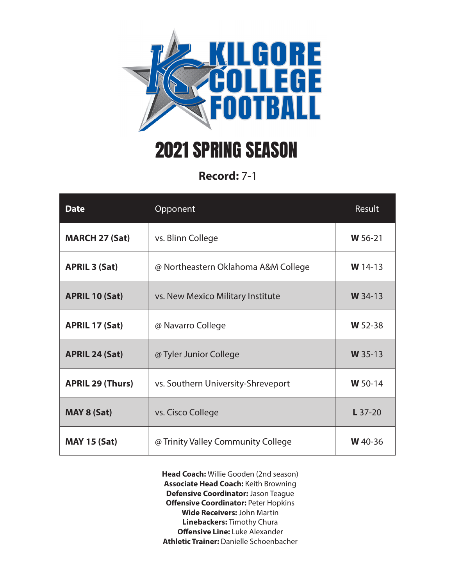

## 2021 SPRING SEASON

**Record:** 7-1

| <b>Date</b>             | Opponent                            | Result    |
|-------------------------|-------------------------------------|-----------|
| <b>MARCH 27 (Sat)</b>   | vs. Blinn College                   | W 56-21   |
| <b>APRIL 3 (Sat)</b>    | @ Northeastern Oklahoma A&M College | $W$ 14-13 |
| <b>APRIL 10 (Sat)</b>   | vs. New Mexico Military Institute   | W 34-13   |
| <b>APRIL 17 (Sat)</b>   | @ Navarro College                   | W 52-38   |
| <b>APRIL 24 (Sat)</b>   | @ Tyler Junior College              | W 35-13   |
| <b>APRIL 29 (Thurs)</b> | vs. Southern University-Shreveport  | W 50-14   |
| <b>MAY 8 (Sat)</b>      | vs. Cisco College                   | $L$ 37-20 |
| <b>MAY 15 (Sat)</b>     | @ Trinity Valley Community College  | W 40-36   |

**Head Coach:** Willie Gooden (2nd season) **Associate Head Coach:** Keith Browning **Defensive Coordinator:** Jason Teague **Offensive Coordinator: Peter Hopkins Wide Receivers:** John Martin **Linebackers:** Timothy Chura **Offensive Line:** Luke Alexander **Athletic Trainer:** Danielle Schoenbacher